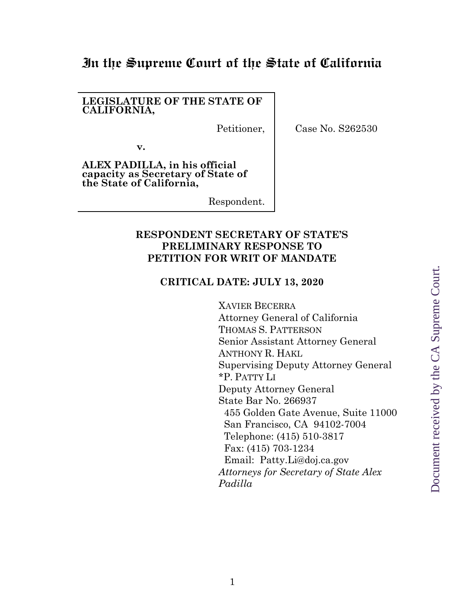# **In the Supreme Court of the State of California**

#### **LEGISLATURE OF THE STATE OF CALIFORNIA,**

Petitioner,

Case No. S262530

**v.**

**ALEX PADILLA, in his official capacity as Secretary of State of the State of California,**

Respondent.

### **RESPONDENT SECRETARY OF STATE'S PRELIMINARY RESPONSE TO PETITION FOR WRIT OF MANDATE**

### **CRITICAL DATE: JULY 13, 2020**

XAVIER BECERRA Attorney General of California THOMAS S. PATTERSON Senior Assistant Attorney General ANTHONY R. HAKL Supervising Deputy Attorney General \*P. PATTY LI Deputy Attorney General State Bar No. 266937 455 Golden Gate Avenue, Suite 11000 San Francisco, CA 94102-7004 Telephone: (415) 510-3817 Fax: (415) 703-1234 Email: Patty.Li@doj.ca.gov *Attorneys for Secretary of State Alex Padilla*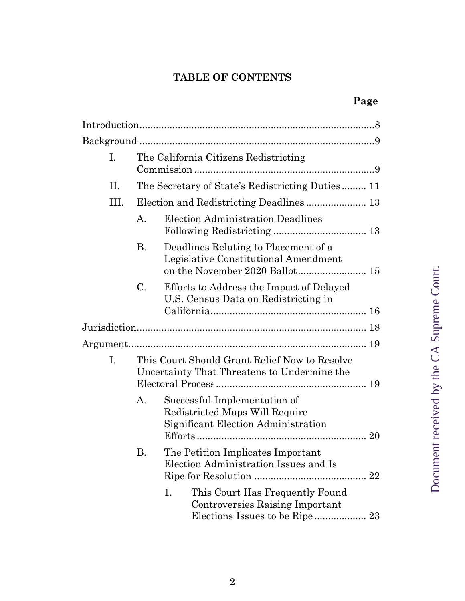# **TABLE OF CONTENTS**

| I.   | The California Citizens Redistricting                                                        |                                                                                                       |  |
|------|----------------------------------------------------------------------------------------------|-------------------------------------------------------------------------------------------------------|--|
| Н.   | The Secretary of State's Redistricting Duties 11                                             |                                                                                                       |  |
| III. |                                                                                              |                                                                                                       |  |
|      | $A$ .                                                                                        | <b>Election Administration Deadlines</b>                                                              |  |
|      | <b>B.</b>                                                                                    | Deadlines Relating to Placement of a<br>Legislative Constitutional Amendment                          |  |
|      | C.                                                                                           | Efforts to Address the Impact of Delayed<br>U.S. Census Data on Redistricting in                      |  |
|      |                                                                                              |                                                                                                       |  |
|      |                                                                                              |                                                                                                       |  |
| Ι.   | This Court Should Grant Relief Now to Resolve<br>Uncertainty That Threatens to Undermine the |                                                                                                       |  |
|      | А.                                                                                           | Successful Implementation of<br>Redistricted Maps Will Require<br>Significant Election Administration |  |
|      | В.                                                                                           | The Petition Implicates Important<br>Election Administration Issues and Is                            |  |
|      |                                                                                              | This Court Has Frequently Found<br>1.<br>Controversies Raising Important                              |  |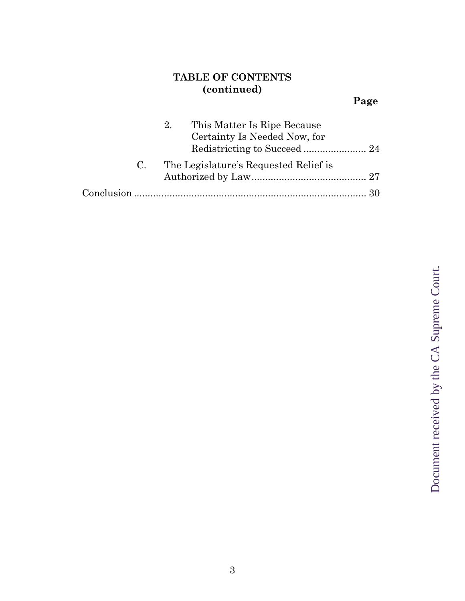# **TABLE OF CONTENTS (continued)**

# **Page**

|    | This Matter Is Ripe Because<br>2.<br>Certainty Is Needed Now, for |  |
|----|-------------------------------------------------------------------|--|
| C. | The Legislature's Requested Relief is                             |  |
|    |                                                                   |  |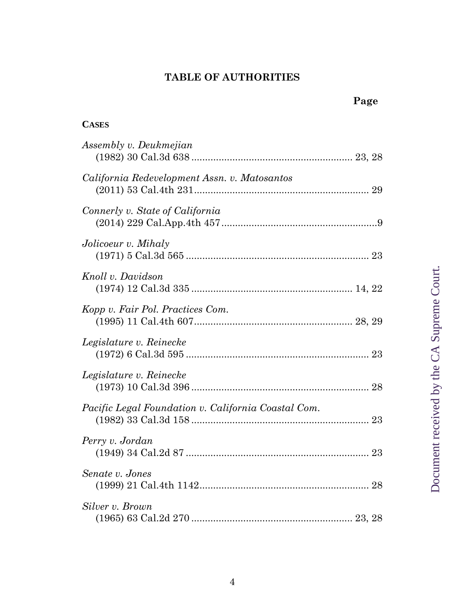# **TABLE OF AUTHORITIES**

| <b>CASES</b>                                        |
|-----------------------------------------------------|
| Assembly v. Deukmejian                              |
| California Redevelopment Assn. v. Matosantos        |
| Connerly v. State of California                     |
| Jolicoeur v. Mihaly                                 |
| Knoll v. Davidson                                   |
| Kopp v. Fair Pol. Practices Com.                    |
| Legislature v. Reinecke                             |
| Legislature v. Reinecke                             |
| Pacific Legal Foundation v. California Coastal Com. |
| Perry v. Jordan                                     |
| Senate v. Jones                                     |
| Silver v. Brown                                     |

**Page**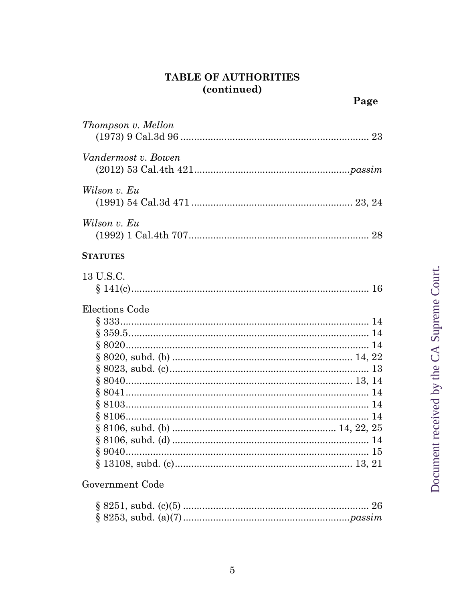# TABLE OF AUTHORITIES (continued)

| Thompson v. Mellon  |  |
|---------------------|--|
| Vandermost v. Bowen |  |
| Wilson v. Eu        |  |
| Wilson v. Eu        |  |
| <b>STATUTES</b>     |  |
| 13 U.S.C.           |  |
| Elections Code      |  |
|                     |  |
|                     |  |
|                     |  |
|                     |  |
|                     |  |
|                     |  |
|                     |  |
|                     |  |
|                     |  |
|                     |  |
|                     |  |
|                     |  |
|                     |  |
| $C_{\alpha}$        |  |

Government Code

Page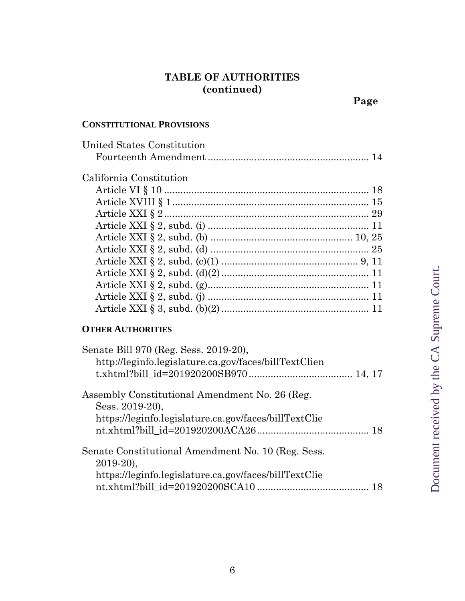# **TABLE OF AUTHORITIES (continued)**

## **CONSTITUTIONAL PROVISIONS**

| United States Constitution                            |  |
|-------------------------------------------------------|--|
|                                                       |  |
| California Constitution                               |  |
|                                                       |  |
|                                                       |  |
|                                                       |  |
|                                                       |  |
|                                                       |  |
|                                                       |  |
|                                                       |  |
|                                                       |  |
|                                                       |  |
|                                                       |  |
|                                                       |  |
|                                                       |  |
| <b>OTHER AUTHORITIES</b>                              |  |
| Senate Bill 970 (Reg. Sess. 2019-20),                 |  |
| http://leginfo.legislature.ca.gov/faces/billTextClien |  |
|                                                       |  |
| Assembly Constitutional Amendment No. 26 (Reg.        |  |
| Sess. 2019-20),                                       |  |
| https://leginfo.legislature.ca.gov/faces/billTextClie |  |
|                                                       |  |
|                                                       |  |

| Senate Constitutional Amendment No. 10 (Reg. Sess.)   |  |
|-------------------------------------------------------|--|
| $2019-20$ ,                                           |  |
| https://leginfo.legislature.ca.gov/faces/billTextClie |  |
|                                                       |  |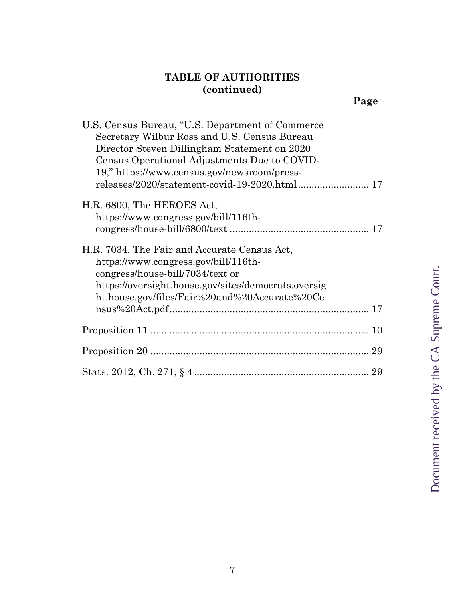# **TABLE OF AUTHORITIES (continued)**

| U.S. Census Bureau, "U.S. Department of Commerce"<br>Secretary Wilbur Ross and U.S. Census Bureau<br>Director Steven Dillingham Statement on 2020<br>Census Operational Adjustments Due to COVID-<br>19," https://www.census.gov/newsroom/press-<br>releases/2020/statement-covid-19-2020.html 17 |
|---------------------------------------------------------------------------------------------------------------------------------------------------------------------------------------------------------------------------------------------------------------------------------------------------|
| H.R. 6800, The HEROES Act,<br>https://www.congress.gov/bill/116th-                                                                                                                                                                                                                                |
| H.R. 7034, The Fair and Accurate Census Act,<br>https://www.congress.gov/bill/116th-<br>congress/house-bill/7034/text or<br>https://oversight.house.gov/sites/democrats.oversig<br>ht.house.gov/files/Fair%20and%20Accurate%20Ce                                                                  |
|                                                                                                                                                                                                                                                                                                   |
|                                                                                                                                                                                                                                                                                                   |
|                                                                                                                                                                                                                                                                                                   |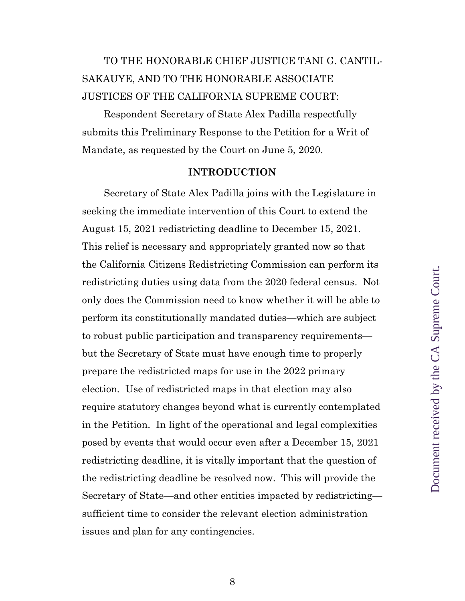# TO THE HONORABLE CHIEF JUSTICE TANI G. CANTIL-SAKAUYE, AND TO THE HONORABLE ASSOCIATE JUSTICES OF THE CALIFORNIA SUPREME COURT:

Respondent Secretary of State Alex Padilla respectfully submits this Preliminary Response to the Petition for a Writ of Mandate, as requested by the Court on June 5, 2020.

#### **INTRODUCTION**

Secretary of State Alex Padilla joins with the Legislature in seeking the immediate intervention of this Court to extend the August 15, 2021 redistricting deadline to December 15, 2021. This relief is necessary and appropriately granted now so that the California Citizens Redistricting Commission can perform its redistricting duties using data from the 2020 federal census. Not only does the Commission need to know whether it will be able to perform its constitutionally mandated duties—which are subject to robust public participation and transparency requirements but the Secretary of State must have enough time to properly prepare the redistricted maps for use in the 2022 primary election*.* Use of redistricted maps in that election may also require statutory changes beyond what is currently contemplated in the Petition. In light of the operational and legal complexities posed by events that would occur even after a December 15, 2021 redistricting deadline, it is vitally important that the question of the redistricting deadline be resolved now. This will provide the Secretary of State—and other entities impacted by redistricting sufficient time to consider the relevant election administration issues and plan for any contingencies.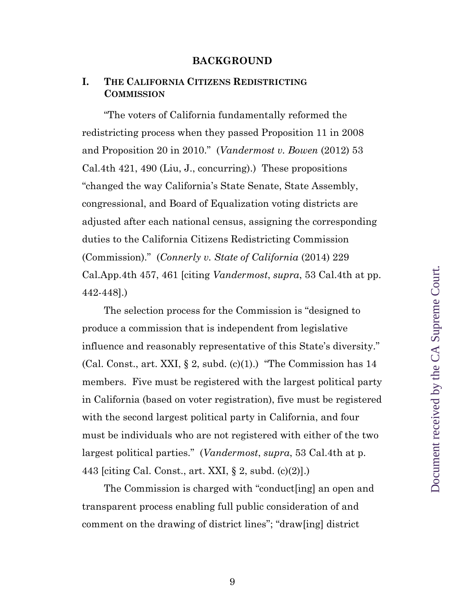#### **BACKGROUND**

#### **I. THE CALIFORNIA CITIZENS REDISTRICTING COMMISSION**

"The voters of California fundamentally reformed the redistricting process when they passed Proposition 11 in 2008 and Proposition 20 in 2010." (*Vandermost v. Bowen* (2012) 53 Cal.4th 421, 490 (Liu, J., concurring).) These propositions "changed the way California's State Senate, State Assembly, congressional, and Board of Equalization voting districts are adjusted after each national census, assigning the corresponding duties to the California Citizens Redistricting Commission (Commission)." (*Connerly v. State of California* (2014) 229 Cal.App.4th 457, 461 [citing *Vandermost*, *supra*, 53 Cal.4th at pp. 442-448].)

The selection process for the Commission is "designed to produce a commission that is independent from legislative influence and reasonably representative of this State's diversity." (Cal. Const., art. XXI,  $\S 2$ , subd. (c)(1).) "The Commission has 14 members. Five must be registered with the largest political party in California (based on voter registration), five must be registered with the second largest political party in California, and four must be individuals who are not registered with either of the two largest political parties." (*Vandermost*, *supra*, 53 Cal.4th at p. 443 [citing Cal. Const., art. XXI, § 2, subd. (c)(2)].)

The Commission is charged with "conduct[ing] an open and transparent process enabling full public consideration of and comment on the drawing of district lines"; "draw[ing] district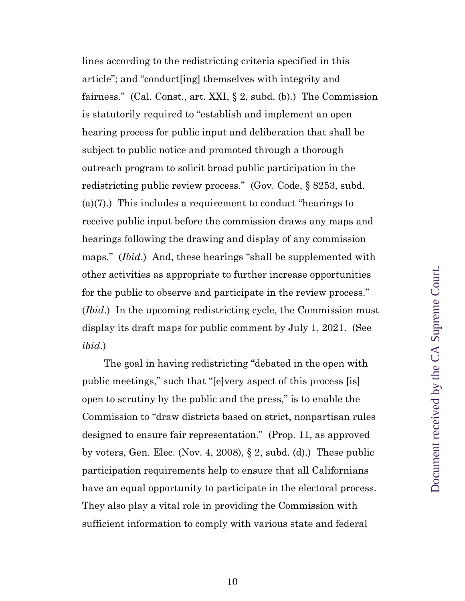lines according to the redistricting criteria specified in this article"; and "conduct[ing] themselves with integrity and fairness." (Cal. Const., art. XXI, § 2, subd. (b).) The Commission is statutorily required to "establish and implement an open hearing process for public input and deliberation that shall be subject to public notice and promoted through a thorough outreach program to solicit broad public participation in the redistricting public review process." (Gov. Code, § 8253, subd. (a)(7).) This includes a requirement to conduct "hearings to receive public input before the commission draws any maps and hearings following the drawing and display of any commission maps." (*Ibid*.)And, these hearings "shall be supplemented with other activities as appropriate to further increase opportunities for the public to observe and participate in the review process." (*Ibid*.) In the upcoming redistricting cycle, the Commission must display its draft maps for public comment by July 1, 2021. (See *ibid*.)

The goal in having redistricting "debated in the open with public meetings," such that "[e]very aspect of this process [is] open to scrutiny by the public and the press," is to enable the Commission to "draw districts based on strict, nonpartisan rules designed to ensure fair representation." (Prop. 11, as approved by voters, Gen. Elec. (Nov. 4, 2008), § 2, subd. (d).) These public participation requirements help to ensure that all Californians have an equal opportunity to participate in the electoral process. They also play a vital role in providing the Commission with sufficient information to comply with various state and federal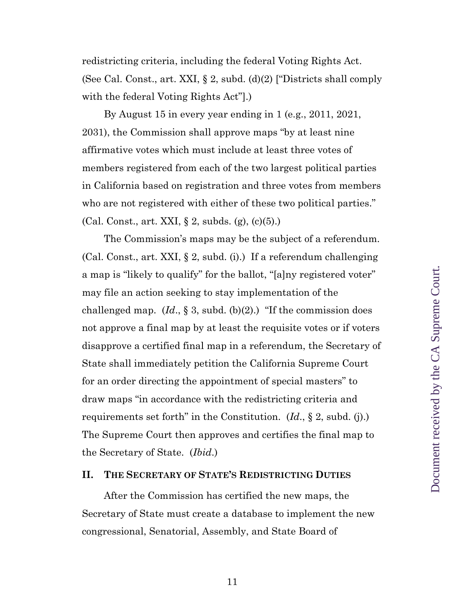redistricting criteria, including the federal Voting Rights Act. (See Cal. Const., art. XXI,  $\S 2$ , subd. (d)(2) ["Districts shall comply with the federal Voting Rights Act"].)

By August 15 in every year ending in 1 (e.g., 2011, 2021, 2031), the Commission shall approve maps "by at least nine affirmative votes which must include at least three votes of members registered from each of the two largest political parties in California based on registration and three votes from members who are not registered with either of these two political parties." (Cal. Const., art. XXI, § 2, subds. (g), (c)(5).)

The Commission's maps may be the subject of a referendum. (Cal. Const., art. XXI, § 2, subd. (i).) If a referendum challenging a map is "likely to qualify" for the ballot, "[a]ny registered voter" may file an action seeking to stay implementation of the challenged map.  $(Id, \S 3, \text{subd.} (b)(2))$ . "If the commission does" not approve a final map by at least the requisite votes or if voters disapprove a certified final map in a referendum, the Secretary of State shall immediately petition the California Supreme Court for an order directing the appointment of special masters" to draw maps "in accordance with the redistricting criteria and requirements set forth" in the Constitution. (*Id*., § 2, subd. (j).) The Supreme Court then approves and certifies the final map to the Secretary of State. (*Ibid*.)

#### **II. THE SECRETARY OF STATE'S REDISTRICTING DUTIES**

After the Commission has certified the new maps, the Secretary of State must create a database to implement the new congressional, Senatorial, Assembly, and State Board of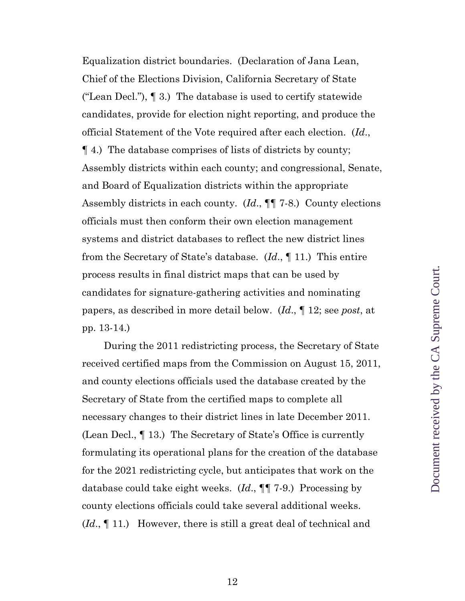Equalization district boundaries. (Declaration of Jana Lean, Chief of the Elections Division, California Secretary of State ("Lean Decl."), ¶ 3.) The database is used to certify statewide candidates, provide for election night reporting, and produce the official Statement of the Vote required after each election. (*Id*., ¶ 4.) The database comprises of lists of districts by county; Assembly districts within each county; and congressional, Senate, and Board of Equalization districts within the appropriate Assembly districts in each county. (*Id*., ¶¶ 7-8.) County elections officials must then conform their own election management systems and district databases to reflect the new district lines from the Secretary of State's database. (*Id*., ¶ 11.) This entire process results in final district maps that can be used by candidates for signature-gathering activities and nominating papers, as described in more detail below. (*Id*., ¶ 12; see *post*, at pp. 13-14.)

During the 2011 redistricting process, the Secretary of State received certified maps from the Commission on August 15, 2011, and county elections officials used the database created by the Secretary of State from the certified maps to complete all necessary changes to their district lines in late December 2011. (Lean Decl., ¶ 13.) The Secretary of State's Office is currently formulating its operational plans for the creation of the database for the 2021 redistricting cycle, but anticipates that work on the database could take eight weeks. (*Id*., ¶¶ 7-9.) Processing by county elections officials could take several additional weeks. (*Id*., ¶ 11.) However, there is still a great deal of technical and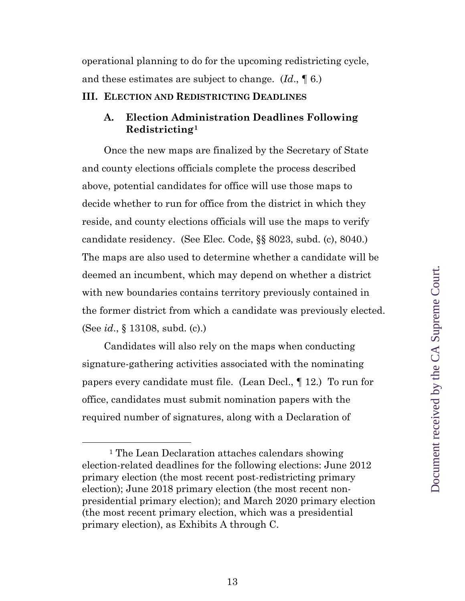operational planning to do for the upcoming redistricting cycle, and these estimates are subject to change. (*Id*., ¶ 6.)

#### **III. ELECTION AND REDISTRICTING DEADLINES**

#### **A. Election Administration Deadlines Following Redistricting[1](#page-12-0)**

Once the new maps are finalized by the Secretary of State and county elections officials complete the process described above, potential candidates for office will use those maps to decide whether to run for office from the district in which they reside, and county elections officials will use the maps to verify candidate residency. (See Elec. Code, §§ 8023, subd. (c), 8040.) The maps are also used to determine whether a candidate will be deemed an incumbent, which may depend on whether a district with new boundaries contains territory previously contained in the former district from which a candidate was previously elected. (See *id*., § 13108, subd. (c).)

Candidates will also rely on the maps when conducting signature-gathering activities associated with the nominating papers every candidate must file. (Lean Decl., ¶ 12.) To run for office, candidates must submit nomination papers with the required number of signatures, along with a Declaration of

<span id="page-12-0"></span><sup>&</sup>lt;sup>1</sup> The Lean Declaration attaches calendars showing election-related deadlines for the following elections: June 2012 primary election (the most recent post-redistricting primary election); June 2018 primary election (the most recent nonpresidential primary election); and March 2020 primary election (the most recent primary election, which was a presidential primary election), as Exhibits A through C.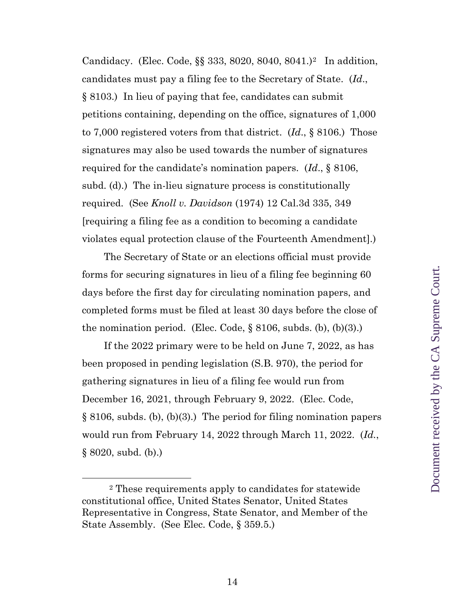Candidacy. (Elec. Code, §§ 333, 8020, 8040, 8041.)[2](#page-13-0) In addition, candidates must pay a filing fee to the Secretary of State. (*Id*., § 8103.) In lieu of paying that fee, candidates can submit petitions containing, depending on the office, signatures of 1,000 to 7,000 registered voters from that district. (*Id*., § 8106.) Those signatures may also be used towards the number of signatures required for the candidate's nomination papers. (*Id*., § 8106, subd. (d).) The in-lieu signature process is constitutionally required. (See *Knoll v. Davidson* (1974) 12 Cal.3d 335, 349 [requiring a filing fee as a condition to becoming a candidate violates equal protection clause of the Fourteenth Amendment].)

The Secretary of State or an elections official must provide forms for securing signatures in lieu of a filing fee beginning 60 days before the first day for circulating nomination papers, and completed forms must be filed at least 30 days before the close of the nomination period. (Elec. Code,  $\S 8106$ , subds. (b), (b)(3).)

If the 2022 primary were to be held on June 7, 2022, as has been proposed in pending legislation (S.B. 970), the period for gathering signatures in lieu of a filing fee would run from December 16, 2021, through February 9, 2022. (Elec. Code, § 8106, subds. (b), (b)(3).) The period for filing nomination papers would run from February 14, 2022 through March 11, 2022. (*Id.*, § 8020, subd. (b).)

<span id="page-13-0"></span> <sup>2</sup> These requirements apply to candidates for statewide constitutional office, United States Senator, United States Representative in Congress, State Senator, and Member of the State Assembly. (See Elec. Code, § 359.5.)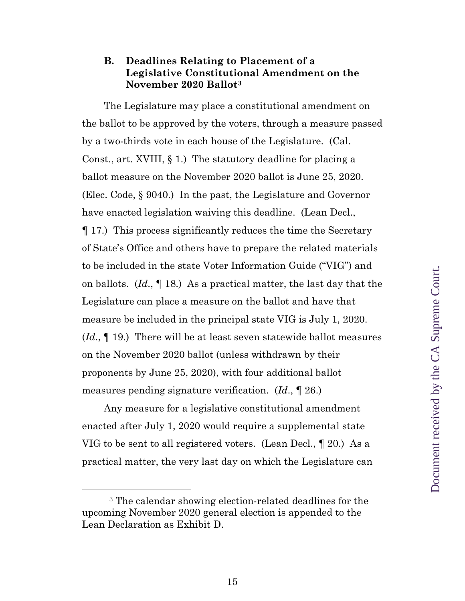### **B. Deadlines Relating to Placement of a Legislative Constitutional Amendment on the November 2020 Ballot[3](#page-14-0)**

The Legislature may place a constitutional amendment on the ballot to be approved by the voters, through a measure passed by a two-thirds vote in each house of the Legislature. (Cal. Const., art. XVIII, § 1.) The statutory deadline for placing a ballot measure on the November 2020 ballot is June 25, 2020. (Elec. Code, § 9040.) In the past, the Legislature and Governor have enacted legislation waiving this deadline. (Lean Decl., ¶ 17.) This process significantly reduces the time the Secretary of State's Office and others have to prepare the related materials to be included in the state Voter Information Guide ("VIG") and on ballots. (*Id*., ¶ 18.) As a practical matter, the last day that the Legislature can place a measure on the ballot and have that measure be included in the principal state VIG is July 1, 2020. (*Id*., ¶ 19.) There will be at least seven statewide ballot measures on the November 2020 ballot (unless withdrawn by their proponents by June 25, 2020), with four additional ballot measures pending signature verification. (*Id*., ¶ 26.)

Any measure for a legislative constitutional amendment enacted after July 1, 2020 would require a supplemental state VIG to be sent to all registered voters. (Lean Decl., ¶ 20.) As a practical matter, the very last day on which the Legislature can

<span id="page-14-0"></span> <sup>3</sup> The calendar showing election-related deadlines for the upcoming November 2020 general election is appended to the Lean Declaration as Exhibit D.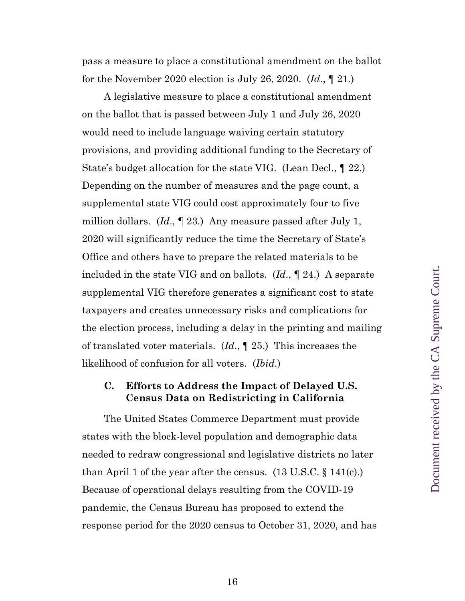pass a measure to place a constitutional amendment on the ballot for the November 2020 election is July 26, 2020. (*Id*., ¶ 21.)

A legislative measure to place a constitutional amendment on the ballot that is passed between July 1 and July 26, 2020 would need to include language waiving certain statutory provisions, and providing additional funding to the Secretary of State's budget allocation for the state VIG. (Lean Decl., ¶ 22.) Depending on the number of measures and the page count, a supplemental state VIG could cost approximately four to five million dollars. (*Id*., ¶ 23.) Any measure passed after July 1, 2020 will significantly reduce the time the Secretary of State's Office and others have to prepare the related materials to be included in the state VIG and on ballots. (*Id*., ¶ 24.) A separate supplemental VIG therefore generates a significant cost to state taxpayers and creates unnecessary risks and complications for the election process, including a delay in the printing and mailing of translated voter materials. (*Id*., ¶ 25.) This increases the likelihood of confusion for all voters. (*Ibid*.)

#### **C. Efforts to Address the Impact of Delayed U.S. Census Data on Redistricting in California**

The United States Commerce Department must provide states with the block-level population and demographic data needed to redraw congressional and legislative districts no later than April 1 of the year after the census.  $(13 \text{ U.S.C.} \S 141(c))$ . Because of operational delays resulting from the COVID-19 pandemic, the Census Bureau has proposed to extend the response period for the 2020 census to October 31, 2020, and has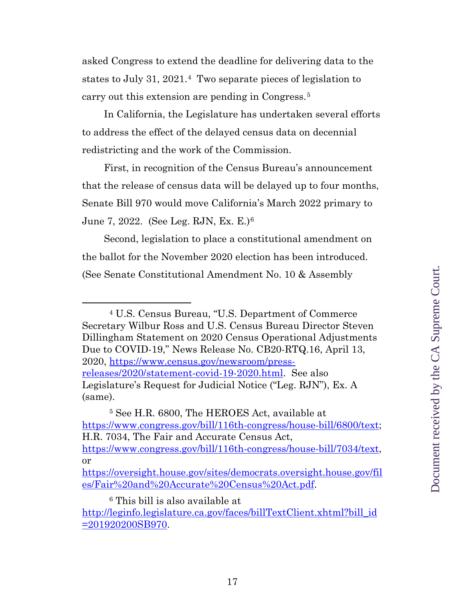asked Congress to extend the deadline for delivering data to the states to July 31, 2021.[4](#page-16-0) Two separate pieces of legislation to carry out this extension are pending in Congress.[5](#page-16-1) 

In California, the Legislature has undertaken several efforts to address the effect of the delayed census data on decennial redistricting and the work of the Commission.

First, in recognition of the Census Bureau's announcement that the release of census data will be delayed up to four months, Senate Bill 970 would move California's March 2022 primary to June 7, 2022. (See Leg. RJN, Ex. E.)[6](#page-16-2)

Second, legislation to place a constitutional amendment on the ballot for the November 2020 election has been introduced. (See Senate Constitutional Amendment No. 10 & Assembly

<span id="page-16-0"></span> <sup>4</sup> U.S. Census Bureau, "U.S. Department of Commerce Secretary Wilbur Ross and U.S. Census Bureau Director Steven Dillingham Statement on 2020 Census Operational Adjustments Due to COVID-19," News Release No. CB20-RTQ.16, April 13, 2020, [https://www.census.gov/newsroom/press](https://www.census.gov/newsroom/press-releases/2020/statement-covid-19-2020.html)[releases/2020/statement-covid-19-2020.html.](https://www.census.gov/newsroom/press-releases/2020/statement-covid-19-2020.html) See also Legislature's Request for Judicial Notice ("Leg. RJN"), Ex. A (same).

<span id="page-16-1"></span><sup>5</sup> See H.R. 6800, The HEROES Act, available at [https://www.congress.gov/bill/116th-congress/house-bill/6800/text;](https://www.congress.gov/bill/116th-congress/house-bill/6800/text) H.R. 7034, The Fair and Accurate Census Act, [https://www.congress.gov/bill/116th-congress/house-bill/7034/text,](https://www.congress.gov/bill/116th-congress/house-bill/7034/text) or

[https://oversight.house.gov/sites/democrats.oversight.house.gov/fil](https://oversight.house.gov/sites/democrats.oversight.house.gov/files/Fair%20and%20Accurate%20Census%20Act.pdf) [es/Fair%20and%20Accurate%20Census%20Act.pdf.](https://oversight.house.gov/sites/democrats.oversight.house.gov/files/Fair%20and%20Accurate%20Census%20Act.pdf)

<sup>6</sup> This bill is also available at

<span id="page-16-2"></span>[http://leginfo.legislature.ca.gov/faces/billTextClient.xhtml?bill\\_id](http://leginfo.legislature.ca.gov/faces/billTextClient.xhtml?bill_id=201920200SB970) [=201920200SB970.](http://leginfo.legislature.ca.gov/faces/billTextClient.xhtml?bill_id=201920200SB970)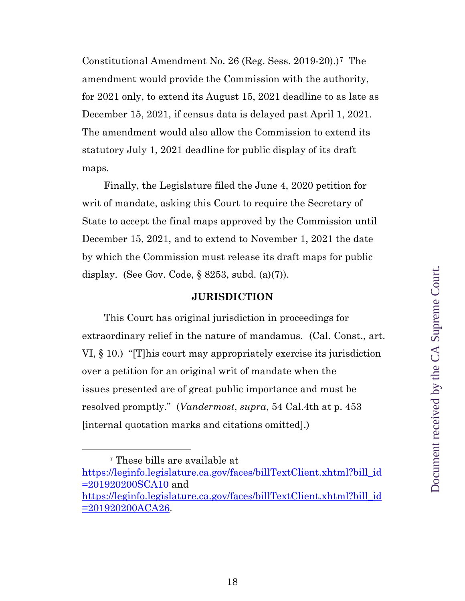Constitutional Amendment No. 26 (Reg. Sess. 2019-20).)[7](#page-17-0) The amendment would provide the Commission with the authority, for 2021 only, to extend its August 15, 2021 deadline to as late as December 15, 2021, if census data is delayed past April 1, 2021. The amendment would also allow the Commission to extend its statutory July 1, 2021 deadline for public display of its draft maps.

Finally, the Legislature filed the June 4, 2020 petition for writ of mandate, asking this Court to require the Secretary of State to accept the final maps approved by the Commission until December 15, 2021, and to extend to November 1, 2021 the date by which the Commission must release its draft maps for public display. (See Gov. Code,  $\S$  8253, subd. (a)(7)).

#### **JURISDICTION**

This Court has original jurisdiction in proceedings for extraordinary relief in the nature of mandamus. (Cal. Const., art. VI, § 10.) "[T]his court may appropriately exercise its jurisdiction over a petition for an original writ of mandate when the issues presented are of great public importance and must be resolved promptly." (*Vandermost*, *supra*, 54 Cal.4th at p. 453 [internal quotation marks and citations omitted].)

 <sup>7</sup> These bills are available at

<span id="page-17-0"></span>[https://leginfo.legislature.ca.gov/faces/billTextClient.xhtml?bill\\_id](https://leginfo.legislature.ca.gov/faces/billTextClient.xhtml?bill_id=201920200SCA10) [=201920200SCA10](https://leginfo.legislature.ca.gov/faces/billTextClient.xhtml?bill_id=201920200SCA10) and

[https://leginfo.legislature.ca.gov/faces/billTextClient.xhtml?bill\\_id](https://leginfo.legislature.ca.gov/faces/billTextClient.xhtml?bill_id=201920200ACA26) [=201920200ACA26.](https://leginfo.legislature.ca.gov/faces/billTextClient.xhtml?bill_id=201920200ACA26)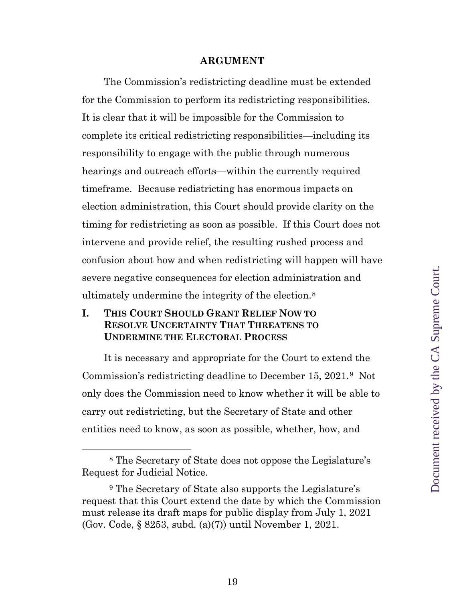#### **ARGUMENT**

The Commission's redistricting deadline must be extended for the Commission to perform its redistricting responsibilities. It is clear that it will be impossible for the Commission to complete its critical redistricting responsibilities—including its responsibility to engage with the public through numerous hearings and outreach efforts—within the currently required timeframe. Because redistricting has enormous impacts on election administration, this Court should provide clarity on the timing for redistricting as soon as possible. If this Court does not intervene and provide relief, the resulting rushed process and confusion about how and when redistricting will happen will have severe negative consequences for election administration and ultimately undermine the integrity of the election.[8](#page-18-0)

### **I. THIS COURT SHOULD GRANT RELIEF NOW TO RESOLVE UNCERTAINTY THAT THREATENS TO UNDERMINE THE ELECTORAL PROCESS**

It is necessary and appropriate for the Court to extend the Commission's redistricting deadline to December 15, 2021.[9](#page-18-1) Not only does the Commission need to know whether it will be able to carry out redistricting, but the Secretary of State and other entities need to know, as soon as possible, whether, how, and

<span id="page-18-0"></span> <sup>8</sup> The Secretary of State does not oppose the Legislature's Request for Judicial Notice.

<span id="page-18-1"></span><sup>9</sup> The Secretary of State also supports the Legislature's request that this Court extend the date by which the Commission must release its draft maps for public display from July 1, 2021 (Gov. Code, § 8253, subd. (a)(7)) until November 1, 2021.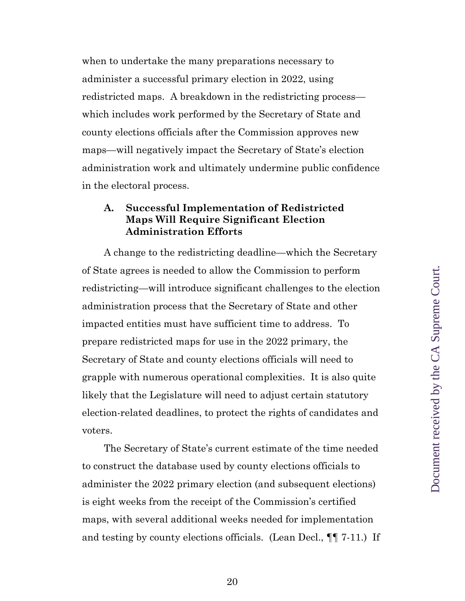when to undertake the many preparations necessary to administer a successful primary election in 2022, using redistricted maps. A breakdown in the redistricting process which includes work performed by the Secretary of State and county elections officials after the Commission approves new maps—will negatively impact the Secretary of State's election administration work and ultimately undermine public confidence in the electoral process.

### **A. Successful Implementation of Redistricted Maps Will Require Significant Election Administration Efforts**

A change to the redistricting deadline—which the Secretary of State agrees is needed to allow the Commission to perform redistricting—will introduce significant challenges to the election administration process that the Secretary of State and other impacted entities must have sufficient time to address. To prepare redistricted maps for use in the 2022 primary, the Secretary of State and county elections officials will need to grapple with numerous operational complexities. It is also quite likely that the Legislature will need to adjust certain statutory election-related deadlines, to protect the rights of candidates and voters.

The Secretary of State's current estimate of the time needed to construct the database used by county elections officials to administer the 2022 primary election (and subsequent elections) is eight weeks from the receipt of the Commission's certified maps, with several additional weeks needed for implementation and testing by county elections officials. (Lean Decl., ¶¶ 7-11.) If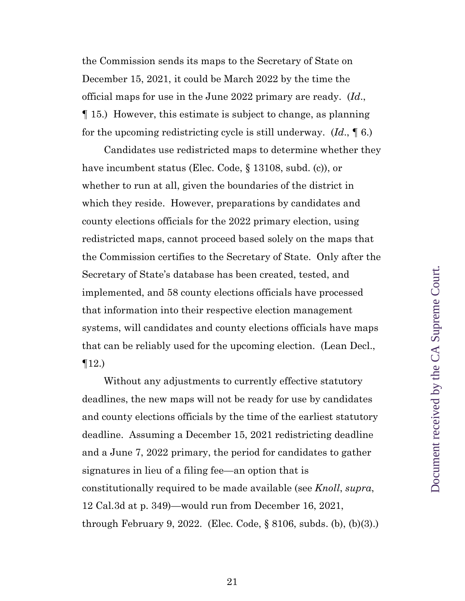the Commission sends its maps to the Secretary of State on December 15, 2021, it could be March 2022 by the time the official maps for use in the June 2022 primary are ready. (*Id*., ¶ 15.) However, this estimate is subject to change, as planning for the upcoming redistricting cycle is still underway. (*Id*., ¶ 6.)

Candidates use redistricted maps to determine whether they have incumbent status (Elec. Code, § 13108, subd. (c)), or whether to run at all, given the boundaries of the district in which they reside. However, preparations by candidates and county elections officials for the 2022 primary election, using redistricted maps, cannot proceed based solely on the maps that the Commission certifies to the Secretary of State. Only after the Secretary of State's database has been created, tested, and implemented, and 58 county elections officials have processed that information into their respective election management systems, will candidates and county elections officials have maps that can be reliably used for the upcoming election. (Lean Decl.,  $\P$ 12.)

Without any adjustments to currently effective statutory deadlines, the new maps will not be ready for use by candidates and county elections officials by the time of the earliest statutory deadline. Assuming a December 15, 2021 redistricting deadline and a June 7, 2022 primary, the period for candidates to gather signatures in lieu of a filing fee—an option that is constitutionally required to be made available (see *Knoll*, *supra*, 12 Cal.3d at p. 349)—would run from December 16, 2021, through February 9, 2022. (Elec. Code, § 8106, subds. (b), (b)(3).)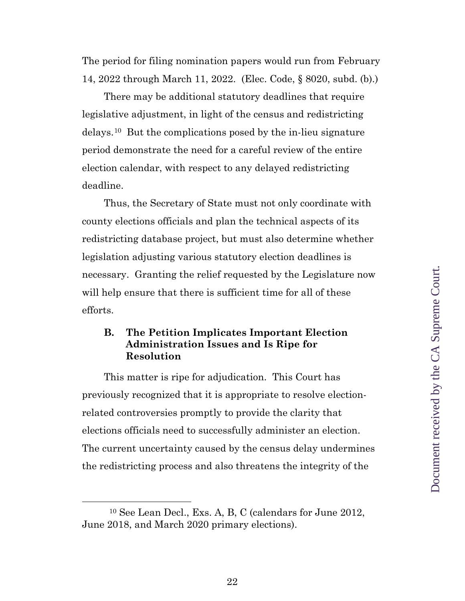The period for filing nomination papers would run from February 14, 2022 through March 11, 2022. (Elec. Code, § 8020, subd. (b).)

There may be additional statutory deadlines that require legislative adjustment, in light of the census and redistricting delays.[10](#page-21-0) But the complications posed by the in-lieu signature period demonstrate the need for a careful review of the entire election calendar, with respect to any delayed redistricting deadline.

Thus, the Secretary of State must not only coordinate with county elections officials and plan the technical aspects of its redistricting database project, but must also determine whether legislation adjusting various statutory election deadlines is necessary. Granting the relief requested by the Legislature now will help ensure that there is sufficient time for all of these efforts.

### **B. The Petition Implicates Important Election Administration Issues and Is Ripe for Resolution**

This matter is ripe for adjudication. This Court has previously recognized that it is appropriate to resolve electionrelated controversies promptly to provide the clarity that elections officials need to successfully administer an election. The current uncertainty caused by the census delay undermines the redistricting process and also threatens the integrity of the

<span id="page-21-0"></span> <sup>10</sup> See Lean Decl., Exs. A, B, C (calendars for June 2012, June 2018, and March 2020 primary elections).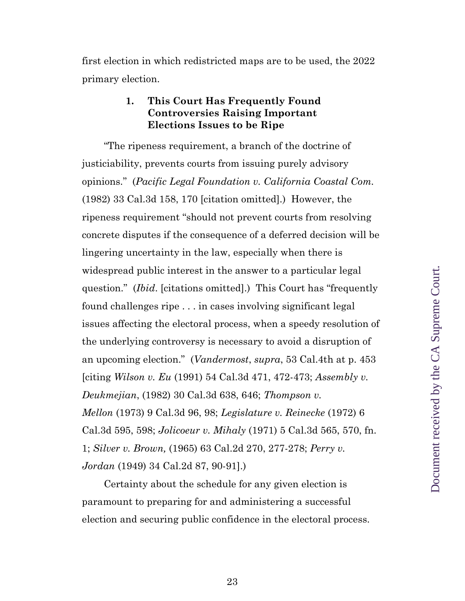first election in which redistricted maps are to be used, the 2022 primary election.

#### **1. This Court Has Frequently Found Controversies Raising Important Elections Issues to be Ripe**

"The ripeness requirement, a branch of the doctrine of justiciability, prevents courts from issuing purely advisory opinions." (*Pacific Legal Foundation v. California Coastal Com.* (1982) 33 Cal.3d 158, 170 [citation omitted].) However, the ripeness requirement "should not prevent courts from resolving concrete disputes if the consequence of a deferred decision will be lingering uncertainty in the law, especially when there is widespread public interest in the answer to a particular legal question." (*Ibid*. [citations omitted].) This Court has "frequently found challenges ripe . . . in cases involving significant legal issues affecting the electoral process, when a speedy resolution of the underlying controversy is necessary to avoid a disruption of an upcoming election." (*Vandermost*, *supra*, 53 Cal.4th at p. 453 [citing *Wilson v. Eu* (1991) 54 Cal.3d 471, 472-473; *Assembly v. Deukmejian*, (1982) 30 Cal.3d 638, 646; *Thompson v. Mellon* (1973) 9 Cal.3d 96, 98; *Legislature v. Reinecke* (1972) 6 Cal.3d 595, 598; *Jolicoeur v. Mihaly* (1971) 5 Cal.3d 565, 570, fn. 1; *Silver v. Brown,* (1965) 63 Cal.2d 270, 277-278; *Perry v. Jordan* (1949) 34 Cal.2d 87, 90-91].)

Certainty about the schedule for any given election is paramount to preparing for and administering a successful election and securing public confidence in the electoral process.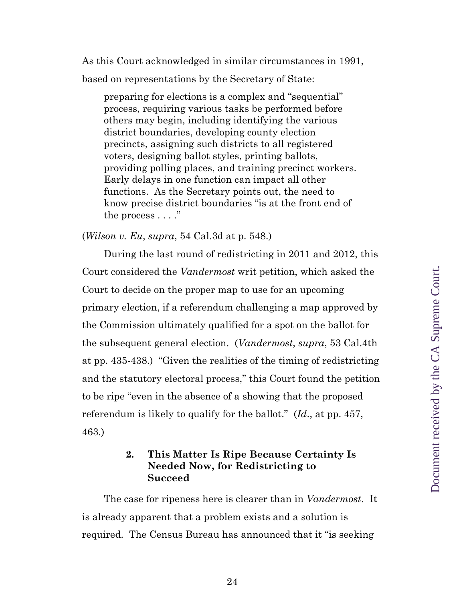As this Court acknowledged in similar circumstances in 1991, based on representations by the Secretary of State:

preparing for elections is a complex and "sequential" process, requiring various tasks be performed before others may begin, including identifying the various district boundaries, developing county election precincts, assigning such districts to all registered voters, designing ballot styles, printing ballots, providing polling places, and training precinct workers. Early delays in one function can impact all other functions. As the Secretary points out, the need to know precise district boundaries "is at the front end of the process . . . ."

(*Wilson v. Eu*, *supra*, 54 Cal.3d at p. 548.)

During the last round of redistricting in 2011 and 2012, this Court considered the *Vandermost* writ petition, which asked the Court to decide on the proper map to use for an upcoming primary election, if a referendum challenging a map approved by the Commission ultimately qualified for a spot on the ballot for the subsequent general election. (*Vandermost*, *supra*, 53 Cal.4th at pp. 435-438.) "Given the realities of the timing of redistricting and the statutory electoral process," this Court found the petition to be ripe "even in the absence of a showing that the proposed referendum is likely to qualify for the ballot." (*Id*., at pp. 457, 463.)

### **2. This Matter Is Ripe Because Certainty Is Needed Now, for Redistricting to Succeed**

The case for ripeness here is clearer than in *Vandermost*. It is already apparent that a problem exists and a solution is required. The Census Bureau has announced that it "is seeking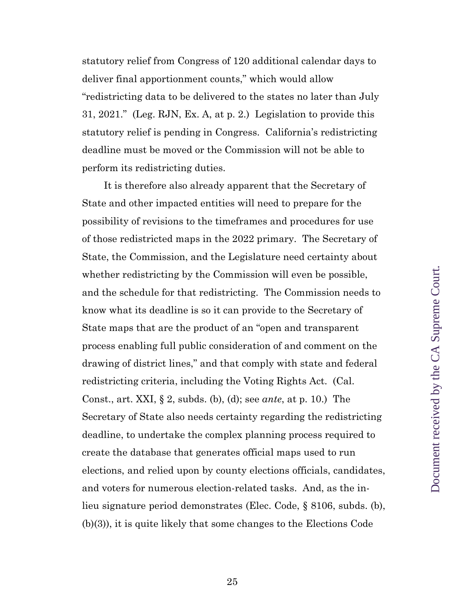statutory relief from Congress of 120 additional calendar days to deliver final apportionment counts," which would allow "redistricting data to be delivered to the states no later than July 31, 2021." (Leg. RJN, Ex. A, at p. 2.) Legislation to provide this statutory relief is pending in Congress. California's redistricting deadline must be moved or the Commission will not be able to perform its redistricting duties.

It is therefore also already apparent that the Secretary of State and other impacted entities will need to prepare for the possibility of revisions to the timeframes and procedures for use of those redistricted maps in the 2022 primary. The Secretary of State, the Commission, and the Legislature need certainty about whether redistricting by the Commission will even be possible, and the schedule for that redistricting. The Commission needs to know what its deadline is so it can provide to the Secretary of State maps that are the product of an "open and transparent process enabling full public consideration of and comment on the drawing of district lines," and that comply with state and federal redistricting criteria, including the Voting Rights Act. (Cal. Const., art. XXI, § 2, subds. (b), (d); see *ante*, at p. 10.) The Secretary of State also needs certainty regarding the redistricting deadline, to undertake the complex planning process required to create the database that generates official maps used to run elections, and relied upon by county elections officials, candidates, and voters for numerous election-related tasks. And, as the inlieu signature period demonstrates (Elec. Code, § 8106, subds. (b), (b)(3)), it is quite likely that some changes to the Elections Code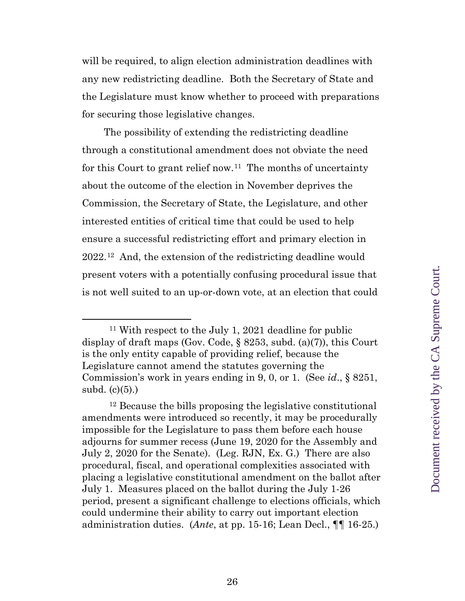will be required, to align election administration deadlines with any new redistricting deadline. Both the Secretary of State and the Legislature must know whether to proceed with preparations for securing those legislative changes.

The possibility of extending the redistricting deadline through a constitutional amendment does not obviate the need for this Court to grant relief now.<sup>11</sup> The months of uncertainty about the outcome of the election in November deprives the Commission, the Secretary of State, the Legislature, and other interested entities of critical time that could be used to help ensure a successful redistricting effort and primary election in 2022.[12](#page-25-1) And, the extension of the redistricting deadline would present voters with a potentially confusing procedural issue that is not well suited to an up-or-down vote, at an election that could

<span id="page-25-0"></span> <sup>11</sup> With respect to the July 1, 2021 deadline for public display of draft maps (Gov. Code, § 8253, subd. (a)(7)), this Court is the only entity capable of providing relief, because the Legislature cannot amend the statutes governing the Commission's work in years ending in 9, 0, or 1. (See *id*., § 8251, subd. (c)(5).)

<span id="page-25-1"></span><sup>12</sup> Because the bills proposing the legislative constitutional amendments were introduced so recently, it may be procedurally impossible for the Legislature to pass them before each house adjourns for summer recess (June 19, 2020 for the Assembly and July 2, 2020 for the Senate). (Leg. RJN, Ex. G.) There are also procedural, fiscal, and operational complexities associated with placing a legislative constitutional amendment on the ballot after July 1. Measures placed on the ballot during the July 1-26 period, present a significant challenge to elections officials, which could undermine their ability to carry out important election administration duties. (*Ante*, at pp. 15-16; Lean Decl., ¶¶ 16-25.)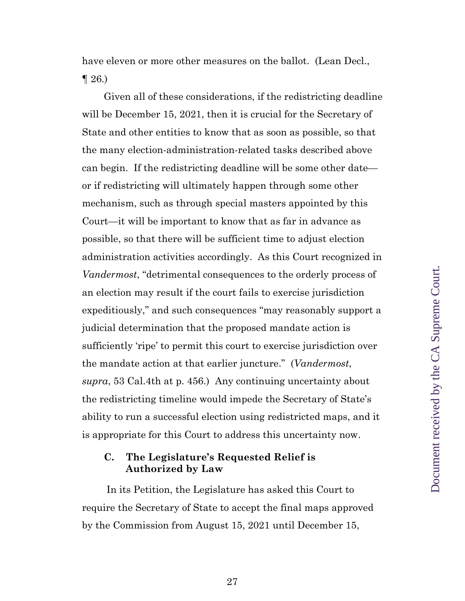have eleven or more other measures on the ballot. (Lean Decl.,  $\P$  26.)

Given all of these considerations, if the redistricting deadline will be December 15, 2021, then it is crucial for the Secretary of State and other entities to know that as soon as possible, so that the many election-administration-related tasks described above can begin. If the redistricting deadline will be some other date or if redistricting will ultimately happen through some other mechanism, such as through special masters appointed by this Court—it will be important to know that as far in advance as possible, so that there will be sufficient time to adjust election administration activities accordingly. As this Court recognized in *Vandermost*, "detrimental consequences to the orderly process of an election may result if the court fails to exercise jurisdiction expeditiously," and such consequences "may reasonably support a judicial determination that the proposed mandate action is sufficiently 'ripe' to permit this court to exercise jurisdiction over the mandate action at that earlier juncture." (*Vandermost*, *supra*, 53 Cal.4th at p. 456.) Any continuing uncertainty about the redistricting timeline would impede the Secretary of State's ability to run a successful election using redistricted maps, and it is appropriate for this Court to address this uncertainty now.

#### **C. The Legislature's Requested Relief is Authorized by Law**

In its Petition, the Legislature has asked this Court to require the Secretary of State to accept the final maps approved by the Commission from August 15, 2021 until December 15,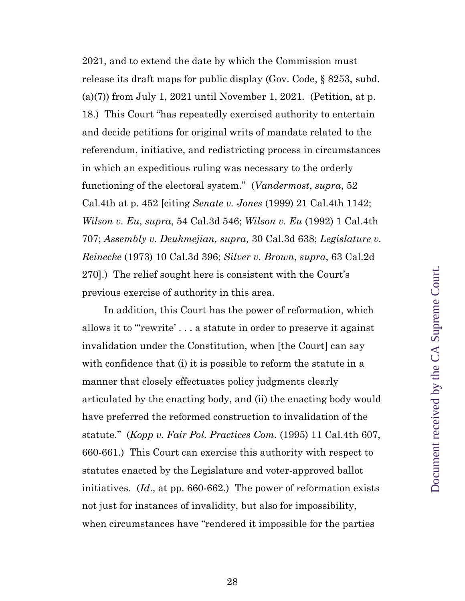2021, and to extend the date by which the Commission must release its draft maps for public display (Gov. Code, § 8253, subd.  $(a)(7)$  from July 1, 2021 until November 1, 2021. (Petition, at p. 18.) This Court "has repeatedly exercised authority to entertain and decide petitions for original writs of mandate related to the referendum, initiative, and redistricting process in circumstances in which an expeditious ruling was necessary to the orderly functioning of the electoral system." (*Vandermost*, *supra*, 52 Cal.4th at p. 452 [citing *Senate v. Jones* (1999) 21 Cal.4th 1142; *Wilson v. Eu*, *supra*, 54 Cal.3d 546; *Wilson v. Eu* (1992) 1 Cal.4th 707; *Assembly v. Deukmejian, supra,* 30 Cal.3d 638; *Legislature v. Reinecke* (1973) 10 Cal.3d 396; *Silver v. Brown*, *supra*, 63 Cal.2d 270].) The relief sought here is consistent with the Court's previous exercise of authority in this area.

In addition, this Court has the power of reformation, which allows it to "'rewrite' . . . a statute in order to preserve it against invalidation under the Constitution, when [the Court] can say with confidence that (i) it is possible to reform the statute in a manner that closely effectuates policy judgments clearly articulated by the enacting body, and (ii) the enacting body would have preferred the reformed construction to invalidation of the statute." (*Kopp v. Fair Pol. Practices Com.* (1995) 11 Cal.4th 607, 660-661.) This Court can exercise this authority with respect to statutes enacted by the Legislature and voter-approved ballot initiatives. (*Id*., at pp. 660-662.) The power of reformation exists not just for instances of invalidity, but also for impossibility, when circumstances have "rendered it impossible for the parties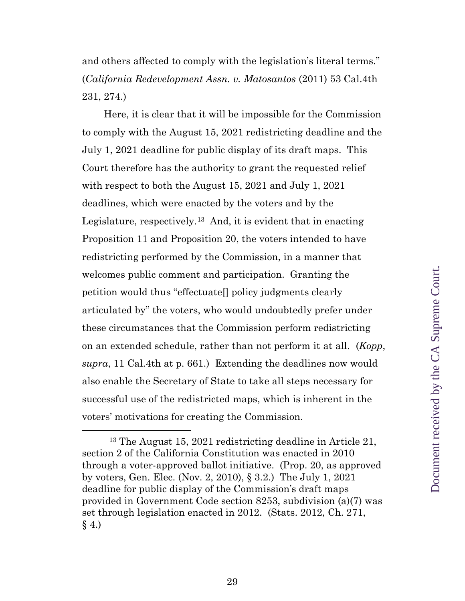and others affected to comply with the legislation's literal terms." (*California Redevelopment Assn. v. Matosantos* (2011) 53 Cal.4th 231, 274.)

Here, it is clear that it will be impossible for the Commission to comply with the August 15, 2021 redistricting deadline and the July 1, 2021 deadline for public display of its draft maps. This Court therefore has the authority to grant the requested relief with respect to both the August 15, 2021 and July 1, 2021 deadlines, which were enacted by the voters and by the Legislature, respectively.[13](#page-28-0) And, it is evident that in enacting Proposition 11 and Proposition 20, the voters intended to have redistricting performed by the Commission, in a manner that welcomes public comment and participation. Granting the petition would thus "effectuate[] policy judgments clearly articulated by" the voters, who would undoubtedly prefer under these circumstances that the Commission perform redistricting on an extended schedule, rather than not perform it at all. (*Kopp*, *supra*, 11 Cal.4th at p. 661.) Extending the deadlines now would also enable the Secretary of State to take all steps necessary for successful use of the redistricted maps, which is inherent in the voters' motivations for creating the Commission.

<span id="page-28-0"></span> <sup>13</sup> The August 15, 2021 redistricting deadline in Article 21, section 2 of the California Constitution was enacted in 2010 through a voter-approved ballot initiative. (Prop. 20, as approved by voters, Gen. Elec. (Nov. 2, 2010), § 3.2.) The July 1, 2021 deadline for public display of the Commission's draft maps provided in Government Code section 8253, subdivision (a)(7) was set through legislation enacted in 2012. (Stats. 2012, Ch. 271, § 4.)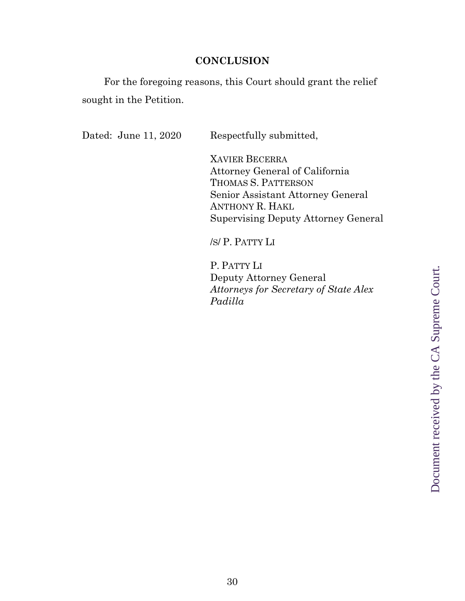#### **CONCLUSION**

For the foregoing reasons, this Court should grant the relief sought in the Petition.

Dated: June 11, 2020 Respectfully submitted,

XAVIER BECERRA Attorney General of California THOMAS S. PATTERSON Senior Assistant Attorney General ANTHONY R. HAKL Supervising Deputy Attorney General

/S/ P. PATTY LI

P. PATTY LI Deputy Attorney General *Attorneys for Secretary of State Alex Padilla*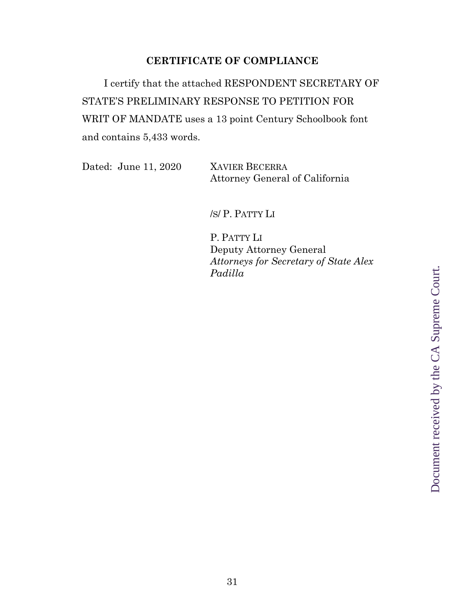### **CERTIFICATE OF COMPLIANCE**

I certify that the attached RESPONDENT SECRETARY OF STATE'S PRELIMINARY RESPONSE TO PETITION FOR WRIT OF MANDATE uses a 13 point Century Schoolbook font and contains 5,433 words.

Dated: June 11, 2020 XAVIER BECERRA

Attorney General of California

/S/ P. PATTY LI

P. PATTY LI Deputy Attorney General *Attorneys for Secretary of State Alex Padilla*